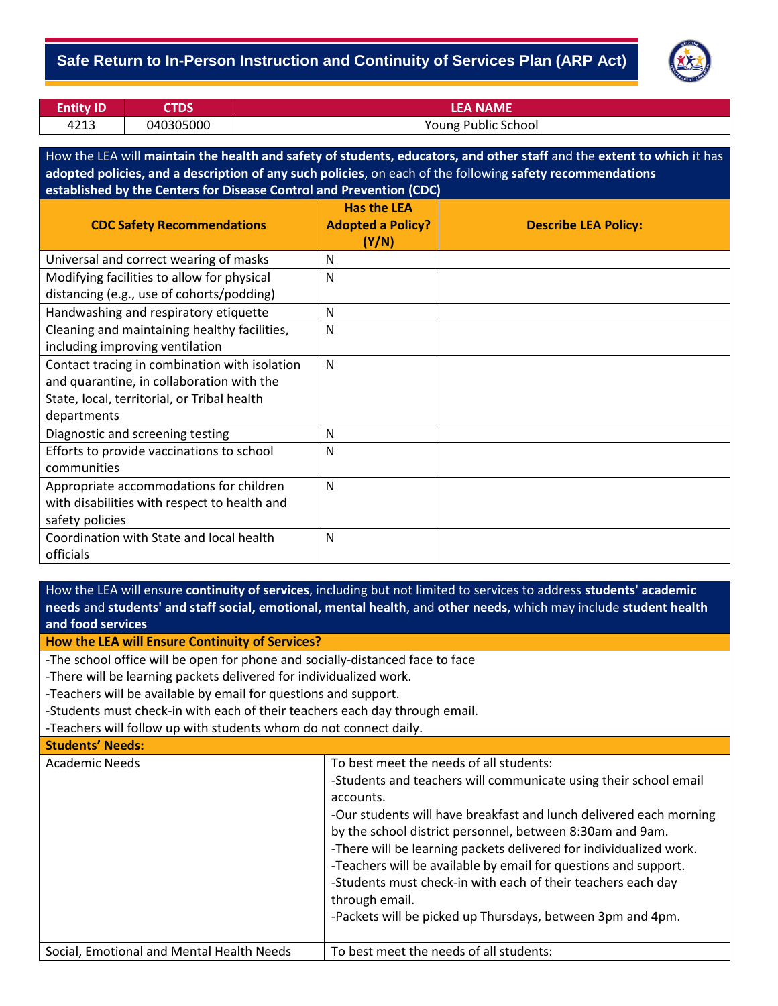## - **Safe Return to In-Person Instruction and Continuity of Services Plan (ARP Act)**



| <b>Entity ID</b> | CTDS'     | <b>LEA NAME</b>     |
|------------------|-----------|---------------------|
| 4213             | 040305000 | Young Public School |

How the LEA will **maintain the health and safety of students, educators, and other staff** and the **extent to which** it has **adopted policies, and a description of any such policies**, on each of the following **safety recommendations established by the Centers for Disease Control and Prevention (CDC)**

| <b>CDC Safety Recommendations</b>             | <b>Has the LEA</b><br><b>Adopted a Policy?</b><br>(Y/N) | <b>Describe LEA Policy:</b> |
|-----------------------------------------------|---------------------------------------------------------|-----------------------------|
| Universal and correct wearing of masks        | N                                                       |                             |
| Modifying facilities to allow for physical    | N                                                       |                             |
| distancing (e.g., use of cohorts/podding)     |                                                         |                             |
| Handwashing and respiratory etiquette         | N                                                       |                             |
| Cleaning and maintaining healthy facilities,  | N                                                       |                             |
| including improving ventilation               |                                                         |                             |
| Contact tracing in combination with isolation | N                                                       |                             |
| and quarantine, in collaboration with the     |                                                         |                             |
| State, local, territorial, or Tribal health   |                                                         |                             |
| departments                                   |                                                         |                             |
| Diagnostic and screening testing              | N                                                       |                             |
| Efforts to provide vaccinations to school     | N                                                       |                             |
| communities                                   |                                                         |                             |
| Appropriate accommodations for children       | N                                                       |                             |
| with disabilities with respect to health and  |                                                         |                             |
| safety policies                               |                                                         |                             |
| Coordination with State and local health      | N                                                       |                             |
| officials                                     |                                                         |                             |

How the LEA will ensure **continuity of services**, including but not limited to services to address **students' academic needs** and **students' and staff social, emotional, mental health**, and **other needs**, which may include **student health and food services**

**How the LEA will Ensure Continuity of Services?**

-The school office will be open for phone and socially-distanced face to face

-There will be learning packets delivered for individualized work.

-Teachers will be available by email for questions and support.

-Students must check-in with each of their teachers each day through email.

-Teachers will follow up with students whom do not connect daily.

**Students' Needs:**

| <b>Academic Needs</b>                     | To best meet the needs of all students:<br>-Students and teachers will communicate using their school email<br>accounts.<br>-Our students will have breakfast and lunch delivered each morning<br>by the school district personnel, between 8:30am and 9am.<br>-There will be learning packets delivered for individualized work.<br>-Teachers will be available by email for questions and support.<br>-Students must check-in with each of their teachers each day<br>through email.<br>-Packets will be picked up Thursdays, between 3pm and 4pm. |
|-------------------------------------------|------------------------------------------------------------------------------------------------------------------------------------------------------------------------------------------------------------------------------------------------------------------------------------------------------------------------------------------------------------------------------------------------------------------------------------------------------------------------------------------------------------------------------------------------------|
| Social, Emotional and Mental Health Needs | To best meet the needs of all students:                                                                                                                                                                                                                                                                                                                                                                                                                                                                                                              |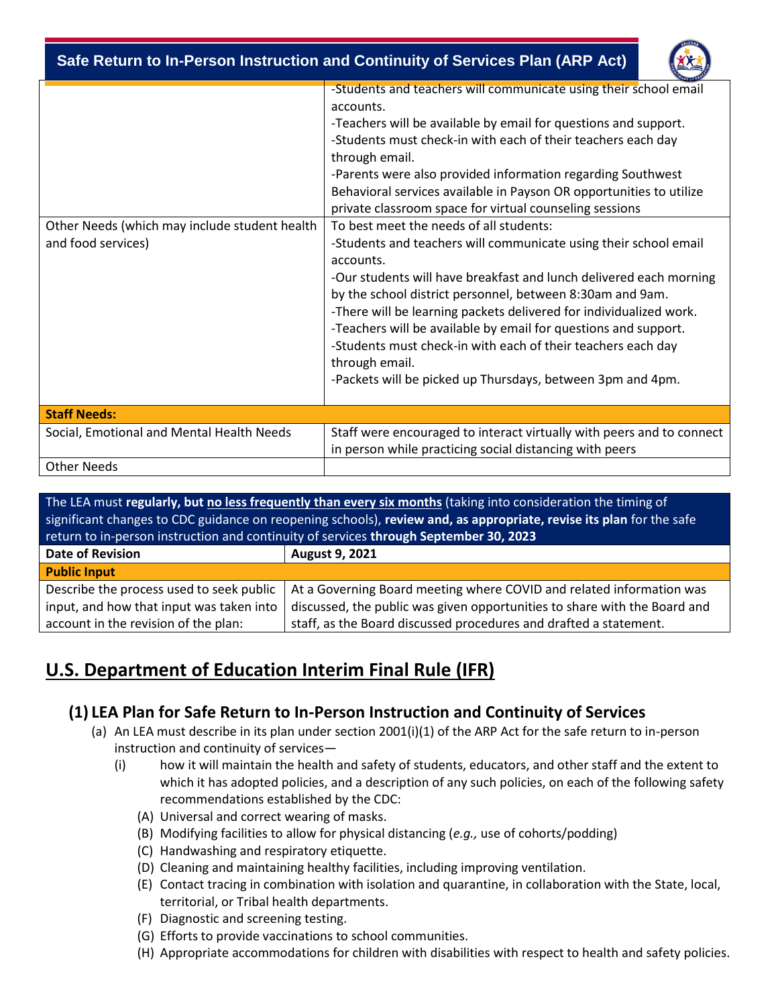- **Safe Return to In-Person Instruction and Continuity of Services Plan (ARP Act)**



| Other Needs (which may include student health<br>and food services) | -Students and teachers will communicate using their school email<br>accounts.<br>-Teachers will be available by email for questions and support.<br>-Students must check-in with each of their teachers each day<br>through email.<br>-Parents were also provided information regarding Southwest<br>Behavioral services available in Payson OR opportunities to utilize<br>private classroom space for virtual counseling sessions<br>To best meet the needs of all students:<br>-Students and teachers will communicate using their school email<br>accounts.<br>-Our students will have breakfast and lunch delivered each morning<br>by the school district personnel, between 8:30am and 9am.<br>-There will be learning packets delivered for individualized work.<br>-Teachers will be available by email for questions and support.<br>-Students must check-in with each of their teachers each day<br>through email.<br>-Packets will be picked up Thursdays, between 3pm and 4pm. |
|---------------------------------------------------------------------|---------------------------------------------------------------------------------------------------------------------------------------------------------------------------------------------------------------------------------------------------------------------------------------------------------------------------------------------------------------------------------------------------------------------------------------------------------------------------------------------------------------------------------------------------------------------------------------------------------------------------------------------------------------------------------------------------------------------------------------------------------------------------------------------------------------------------------------------------------------------------------------------------------------------------------------------------------------------------------------------|
| <b>Staff Needs:</b>                                                 |                                                                                                                                                                                                                                                                                                                                                                                                                                                                                                                                                                                                                                                                                                                                                                                                                                                                                                                                                                                             |
| Social, Emotional and Mental Health Needs                           | Staff were encouraged to interact virtually with peers and to connect                                                                                                                                                                                                                                                                                                                                                                                                                                                                                                                                                                                                                                                                                                                                                                                                                                                                                                                       |
|                                                                     | in person while practicing social distancing with peers                                                                                                                                                                                                                                                                                                                                                                                                                                                                                                                                                                                                                                                                                                                                                                                                                                                                                                                                     |
| <b>Other Needs</b>                                                  |                                                                                                                                                                                                                                                                                                                                                                                                                                                                                                                                                                                                                                                                                                                                                                                                                                                                                                                                                                                             |

| The LEA must regularly, but no less frequently than every six months (taking into consideration the timing of<br>significant changes to CDC guidance on reopening schools), review and, as appropriate, revise its plan for the safe |                                                                           |  |  |  |
|--------------------------------------------------------------------------------------------------------------------------------------------------------------------------------------------------------------------------------------|---------------------------------------------------------------------------|--|--|--|
| return to in-person instruction and continuity of services through September 30, 2023                                                                                                                                                |                                                                           |  |  |  |
| <b>Date of Revision</b>                                                                                                                                                                                                              | <b>August 9, 2021</b>                                                     |  |  |  |
| <b>Public Input</b>                                                                                                                                                                                                                  |                                                                           |  |  |  |
| Describe the process used to seek public                                                                                                                                                                                             | At a Governing Board meeting where COVID and related information was      |  |  |  |
| input, and how that input was taken into                                                                                                                                                                                             | discussed, the public was given opportunities to share with the Board and |  |  |  |
| account in the revision of the plan:                                                                                                                                                                                                 | staff, as the Board discussed procedures and drafted a statement.         |  |  |  |

## **U.S. Department of Education Interim Final Rule (IFR)**

## **(1) LEA Plan for Safe Return to In-Person Instruction and Continuity of Services**

- (a) An LEA must describe in its plan under section 2001(i)(1) of the ARP Act for the safe return to in-person instruction and continuity of services—
	- (i) how it will maintain the health and safety of students, educators, and other staff and the extent to which it has adopted policies, and a description of any such policies, on each of the following safety recommendations established by the CDC:
		- (A) Universal and correct wearing of masks.
		- (B) Modifying facilities to allow for physical distancing (*e.g.,* use of cohorts/podding)
		- (C) Handwashing and respiratory etiquette.
		- (D) Cleaning and maintaining healthy facilities, including improving ventilation.
		- (E) Contact tracing in combination with isolation and quarantine, in collaboration with the State, local, territorial, or Tribal health departments.
		- (F) Diagnostic and screening testing.
		- (G) Efforts to provide vaccinations to school communities.
		- (H) Appropriate accommodations for children with disabilities with respect to health and safety policies.